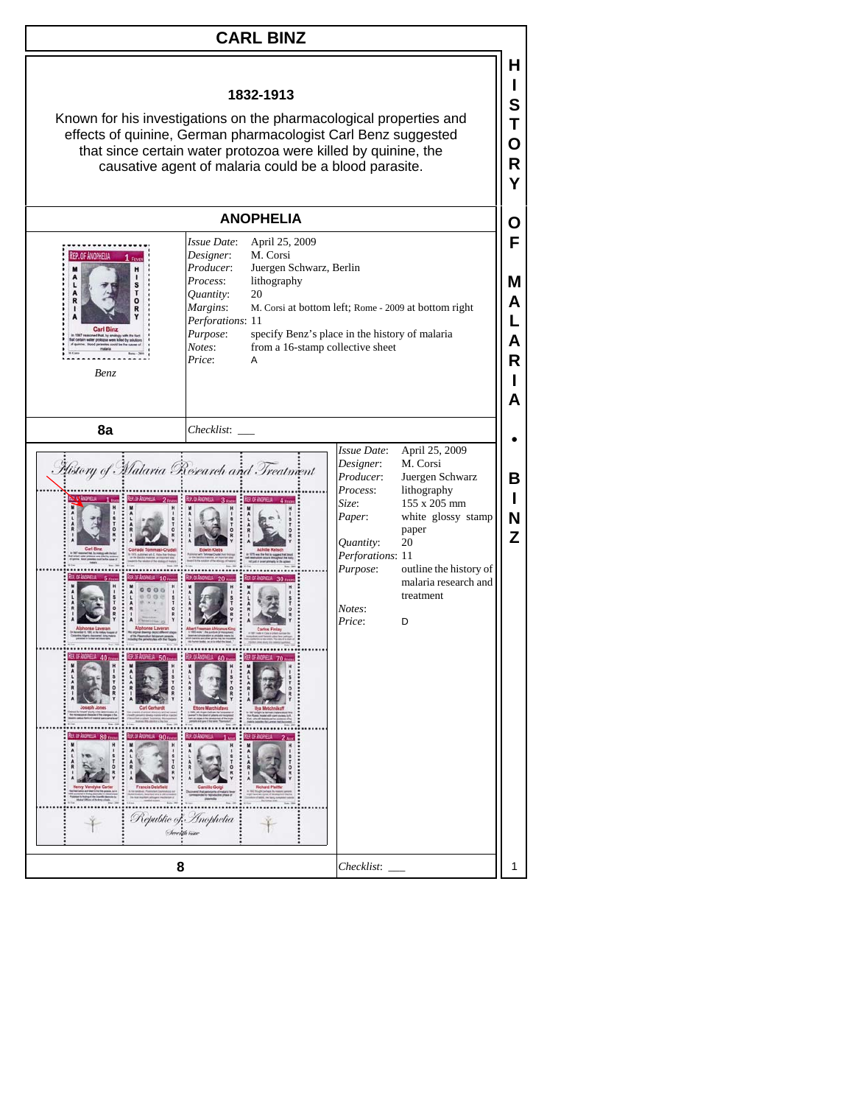